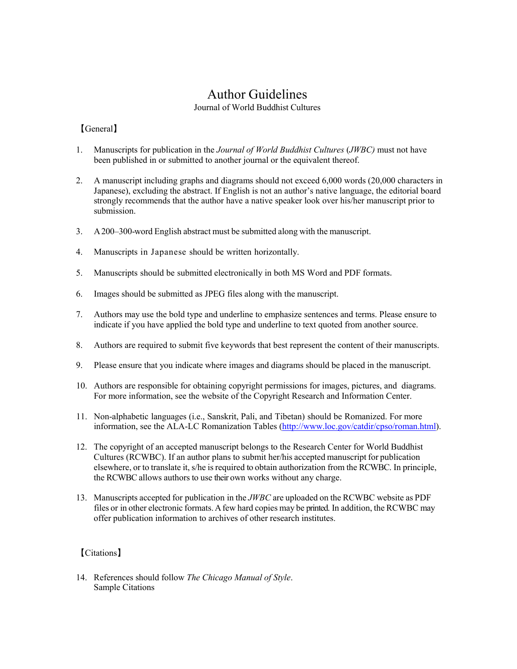## Author Guidelines

Journal of World Buddhist Cultures

## 【General】

- 1. Manuscripts for publication in the *Journal of World Buddhist Cultures* (*JWBC)* must not have been published in or submitted to another journal or the equivalent thereof.
- 2. A manuscript including graphs and diagrams should not exceed 6,000 words (20,000 characters in Japanese), excluding the abstract. If English is not an author's native language, the editorial board strongly recommends that the author have a native speaker look over his/her manuscript prior to submission.
- 3. A200–300-word English abstract must be submitted along with the manuscript.
- 4. Manuscripts in Japanese should be written horizontally.
- 5. Manuscripts should be submitted electronically in both MS Word and PDF formats.
- 6. Images should be submitted as JPEG files along with the manuscript.
- 7. Authors may use the bold type and underline to emphasize sentences and terms. Please ensure to indicate if you have applied the bold type and underline to text quoted from another source.
- 8. Authors are required to submit five keywords that best represent the content of their manuscripts.
- 9. Please ensure that you indicate where images and diagrams should be placed in the manuscript.
- 10. Authors are responsible for obtaining copyright permissions for images, pictures, and diagrams. For more information, see the website of the Copyright Research and Information Center.
- 11. Non-alphabetic languages (i.e., Sanskrit, Pali, and Tibetan) should be Romanized. For more information, see the ALA-LC Romanization Tables [\(http://www.loc.gov/catdir/cpso/roman.html\).](http://www.loc.gov/catdir/cpso/roman.html))
- 12. The copyright of an accepted manuscript belongs to the Research Center for World Buddhist Cultures (RCWBC). If an author plans to submit her/his accepted manuscript for publication elsewhere, or to translate it, s/he is required to obtain authorization from the RCWBC. In principle, the RCWBC allows authors to use their own works without any charge.
- 13. Manuscripts accepted for publication in the *JWBC* are uploaded on the RCWBC website as PDF files or in other electronic formats.Afew hard copies may be printed. In addition, the RCWBC may offer publication information to archives of other research institutes.

## 【Citations】

14. References should follow *The Chicago Manual of Style*. Sample Citations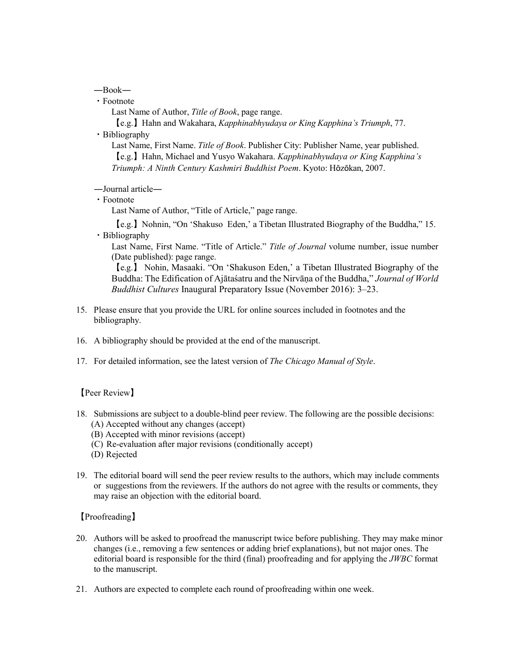―Book―

・Footnote

Last Name of Author, *Title of Book*, page range.

【e.g.】Hahn and Wakahara, *Kapphinabhyudaya or King Kapphina's Triumph*, 77.

・Bibliography

Last Name, First Name. *Title of Book*. Publisher City: Publisher Name, year published. 【e.g.】Hahn, Michael and Yusyo Wakahara. *Kapphinabhyudaya or King Kapphina's Triumph: A Ninth Century Kashmiri Buddhist Poem*. Kyoto: Hōzōkan, 2007.

―Journal article―

・Footnote

Last Name of Author, "Title of Article," page range.

【e.g.】Nohnin, "On 'Shakuso Eden,' a Tibetan Illustrated Biography of the Buddha," 15. ・Bibliography

Last Name, First Name. "Title of Article." *Title of Journal* volume number, issue number (Date published): page range.

【e.g.】 Nohin, Masaaki. "On 'Shakuson Eden,' a Tibetan Illustrated Biography of the Buddha: The Edification of Ajātaśatru and the Nirvāṇa of the Buddha," *Journal of World Buddhist Cultures* Inaugural Preparatory Issue (November 2016): 3–23.

- 15. Please ensure that you provide the URL for online sources included in footnotes and the bibliography.
- 16. A bibliography should be provided at the end of the manuscript.
- 17. For detailed information, see the latest version of *The Chicago Manual of Style*.

【Peer Review】

- 18. Submissions are subject to a double-blind peer review. The following are the possible decisions: (A) Accepted without any changes (accept)
	- (B) Accepted with minor revisions (accept)
	- (C) Re-evaluation after major revisions (conditionally accept)
	- (D) Rejected
- 19. The editorial board will send the peer review results to the authors, which may include comments or suggestions from the reviewers. If the authors do not agree with the results or comments, they may raise an objection with the editorial board.

【Proofreading】

- 20. Authors will be asked to proofread the manuscript twice before publishing. They may make minor changes (i.e., removing a few sentences or adding brief explanations), but not major ones. The editorial board is responsible for the third (final) proofreading and for applying the *JWBC* format to the manuscript.
- 21. Authors are expected to complete each round of proofreading within one week.